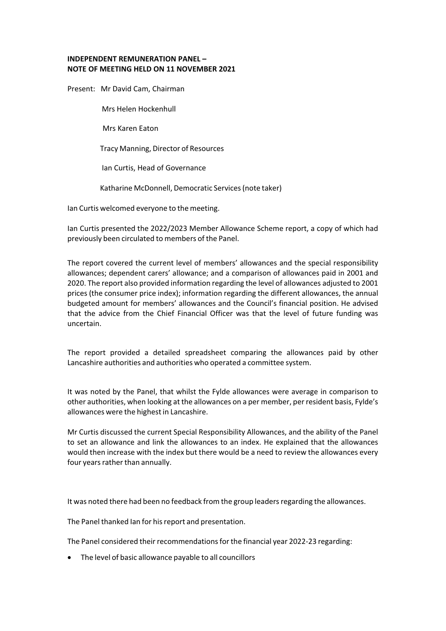## **INDEPENDENT REMUNERATION PANEL – NOTE OF MEETING HELD ON 11 NOVEMBER 2021**

Present: Mr David Cam, Chairman

Mrs Helen Hockenhull

Mrs Karen Eaton

Tracy Manning, Director of Resources

Ian Curtis, Head of Governance

Katharine McDonnell, Democratic Services(note taker)

Ian Curtis welcomed everyone to the meeting.

Ian Curtis presented the 2022/2023 Member Allowance Scheme report, a copy of which had previously been circulated to members of the Panel.

The report covered the current level of members' allowances and the special responsibility allowances; dependent carers' allowance; and a comparison of allowances paid in 2001 and 2020. The report also provided information regarding the level of allowances adjusted to 2001 prices (the consumer price index); information regarding the different allowances, the annual budgeted amount for members' allowances and the Council's financial position. He advised that the advice from the Chief Financial Officer was that the level of future funding was uncertain.

The report provided a detailed spreadsheet comparing the allowances paid by other Lancashire authorities and authorities who operated a committee system.

It was noted by the Panel, that whilst the Fylde allowances were average in comparison to other authorities, when looking at the allowances on a per member, per resident basis, Fylde's allowances were the highest in Lancashire.

Mr Curtis discussed the current Special Responsibility Allowances, and the ability of the Panel to set an allowance and link the allowances to an index. He explained that the allowances would then increase with the index but there would be a need to review the allowances every four years rather than annually.

It was noted there had been no feedback from the group leaders regarding the allowances.

The Panel thanked Ian for his report and presentation.

The Panel considered their recommendations for the financial year 2022-23 regarding:

The level of basic allowance payable to all councillors